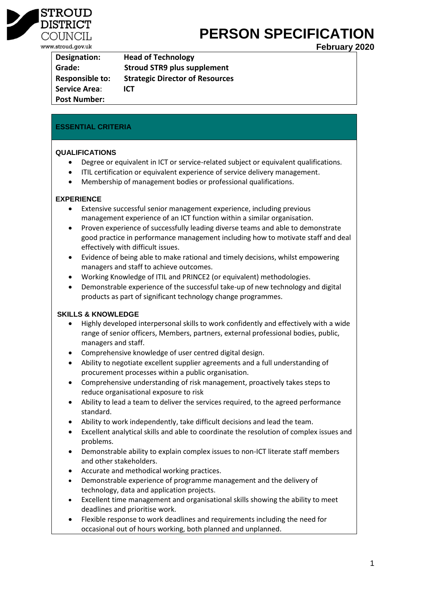

#### **DISTRIC** COUNCIL www.stroud.gov.uk

# **PERSON SPECIFICATION**

**February 2020**

| Designation:           | <b>Head of Technology</b>              |
|------------------------|----------------------------------------|
| Grade:                 | <b>Stroud STR9 plus supplement</b>     |
| <b>Responsible to:</b> | <b>Strategic Director of Resources</b> |
| <b>Service Area:</b>   | <b>ICT</b>                             |
| <b>Post Number:</b>    |                                        |

#### **ESSENTIAL CRITERIA**

#### **QUALIFICATIONS**

- Degree or equivalent in ICT or service-related subject or equivalent qualifications.
- ITIL certification or equivalent experience of service delivery management.
- Membership of management bodies or professional qualifications.

#### **EXPERIENCE**

- Extensive successful senior management experience, including previous management experience of an ICT function within a similar organisation.
- Proven experience of successfully leading diverse teams and able to demonstrate good practice in performance management including how to motivate staff and deal effectively with difficult issues.
- Evidence of being able to make rational and timely decisions, whilst empowering managers and staff to achieve outcomes.
- Working Knowledge of ITIL and PRINCE2 (or equivalent) methodologies.
- Demonstrable experience of the successful take-up of new technology and digital products as part of significant technology change programmes.

#### **SKILLS & KNOWLEDGE**

- Highly developed interpersonal skills to work confidently and effectively with a wide range of senior officers, Members, partners, external professional bodies, public, managers and staff.
- Comprehensive knowledge of user centred digital design.
- Ability to negotiate excellent supplier agreements and a full understanding of procurement processes within a public organisation.
- Comprehensive understanding of risk management, proactively takes steps to reduce organisational exposure to risk
- Ability to lead a team to deliver the services required, to the agreed performance standard.
- Ability to work independently, take difficult decisions and lead the team.
- Excellent analytical skills and able to coordinate the resolution of complex issues and problems.
- Demonstrable ability to explain complex issues to non-ICT literate staff members and other stakeholders.
- Accurate and methodical working practices.
- Demonstrable experience of programme management and the delivery of technology, data and application projects.
- Excellent time management and organisational skills showing the ability to meet deadlines and prioritise work.
- Flexible response to work deadlines and requirements including the need for occasional out of hours working, both planned and unplanned.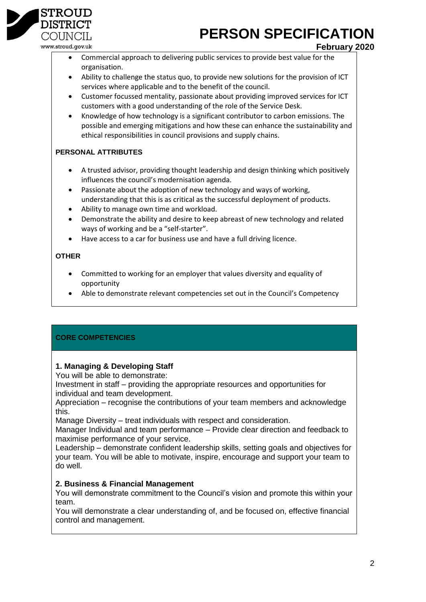# **PERSON SPECIFICATION**

COUNCIL www.stroud.gov.uk

**STROUD** DISTRIC

# **February 2020**

- Commercial approach to delivering public services to provide best value for the organisation.
- Ability to challenge the status quo, to provide new solutions for the provision of ICT services where applicable and to the benefit of the council.
- Customer focussed mentality, passionate about providing improved services for ICT customers with a good understanding of the role of the Service Desk.
- Knowledge of how technology is a significant contributor to carbon emissions. The possible and emerging mitigations and how these can enhance the sustainability and ethical responsibilities in council provisions and supply chains.

# **PERSONAL ATTRIBUTES**

- A trusted advisor, providing thought leadership and design thinking which positively influences the council's modernisation agenda.
- Passionate about the adoption of new technology and ways of working, understanding that this is as critical as the successful deployment of products.
- Ability to manage own time and workload.
- Demonstrate the ability and desire to keep abreast of new technology and related ways of working and be a "self-starter".
- Have access to a car for business use and have a full driving licence.

## **OTHER**

- Committed to working for an employer that values diversity and equality of opportunity
- Able to demonstrate relevant competencies set out in the Council's Competency

# **CORE COMPETENCIES**

# **1. Managing & Developing Staff**

You will be able to demonstrate:

Investment in staff – providing the appropriate resources and opportunities for individual and team development.

Appreciation – recognise the contributions of your team members and acknowledge this.

Manage Diversity – treat individuals with respect and consideration.

Manager Individual and team performance – Provide clear direction and feedback to maximise performance of your service.

Leadership – demonstrate confident leadership skills, setting goals and objectives for your team. You will be able to motivate, inspire, encourage and support your team to do well.

# **2. Business & Financial Management**

You will demonstrate commitment to the Council's vision and promote this within your team.

You will demonstrate a clear understanding of, and be focused on, effective financial control and management.